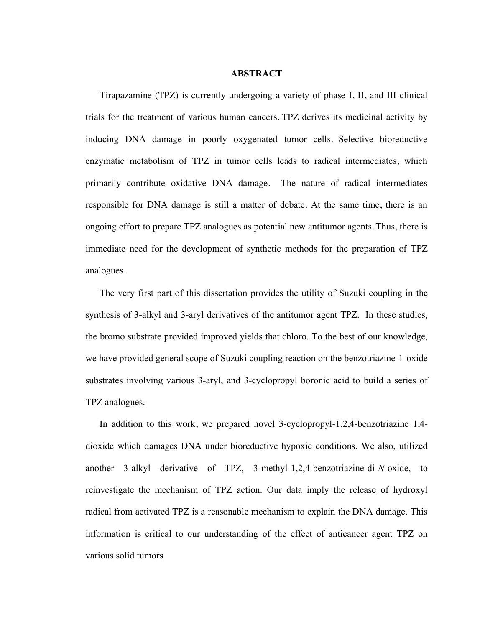## **ABSTRACT**

 Tirapazamine (TPZ) is currently undergoing a variety of phase I, II, and III clinical trials for the treatment of various human cancers. TPZ derives its medicinal activity by inducing DNA damage in poorly oxygenated tumor cells. Selective bioreductive enzymatic metabolism of TPZ in tumor cells leads to radical intermediates, which primarily contribute oxidative DNA damage. The nature of radical intermediates responsible for DNA damage is still a matter of debate. At the same time, there is an ongoing effort to prepare TPZ analogues as potential new antitumor agents. Thus, there is immediate need for the development of synthetic methods for the preparation of TPZ analogues.

 The very first part of this dissertation provides the utility of Suzuki coupling in the synthesis of 3-alkyl and 3-aryl derivatives of the antitumor agent TPZ. In these studies, the bromo substrate provided improved yields that chloro. To the best of our knowledge, we have provided general scope of Suzuki coupling reaction on the benzotriazine-1-oxide substrates involving various 3-aryl, and 3-cyclopropyl boronic acid to build a series of TPZ analogues.

 In addition to this work, we prepared novel 3-cyclopropyl-1,2,4-benzotriazine 1,4 dioxide which damages DNA under bioreductive hypoxic conditions. We also, utilized another 3-alkyl derivative of TPZ, 3-methyl-1,2,4-benzotriazine-di-*N*-oxide, to reinvestigate the mechanism of TPZ action. Our data imply the release of hydroxyl radical from activated TPZ is a reasonable mechanism to explain the DNA damage. This information is critical to our understanding of the effect of anticancer agent TPZ on various solid tumors